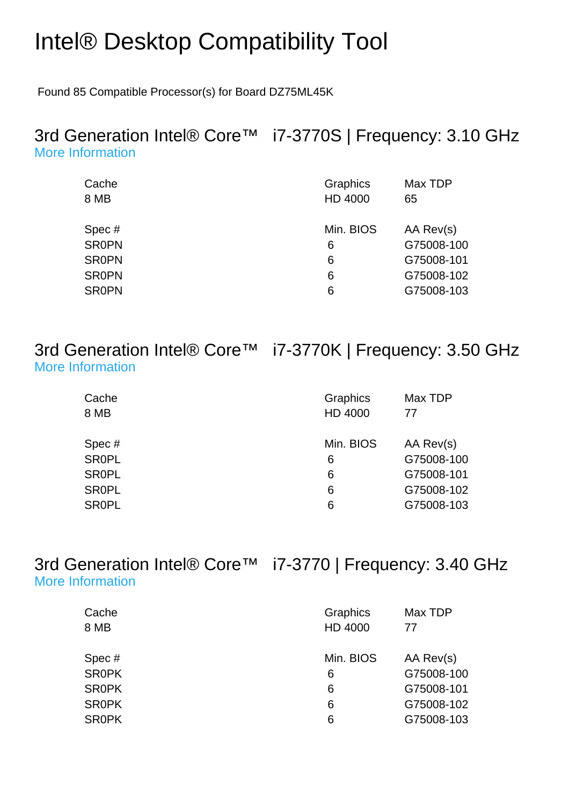## Intel® Desktop Compatibility Tool

Found 85 Compatible Processor(s) for Board DZ75ML45K

## 3rd Generation Intel® Core™ i7-3770S | Frequency: 3.10 GHz [More Information](http://ark.intel.com/Product.aspx?spec=SR0PN)

| Cache<br>8 MB | Graphics<br>HD 4000 | Max TDP<br>65 |
|---------------|---------------------|---------------|
| Spec#         | Min. BIOS           | AA Rev(s)     |
| <b>SR0PN</b>  | 6                   | G75008-100    |
| <b>SROPN</b>  | 6                   | G75008-101    |
| <b>SR0PN</b>  | 6                   | G75008-102    |
| <b>SR0PN</b>  | 6                   | G75008-103    |

3rd Generation Intel® Core™ i7-3770K | Frequency: 3.50 GHz [More Information](http://ark.intel.com/Product.aspx?spec=SR0PL)

| Cache        | Graphics  | Max TDP    |
|--------------|-----------|------------|
| 8 MB         | HD 4000   | 77         |
| Spec#        | Min. BIOS | AA Rev(s)  |
| <b>SR0PL</b> | 6         | G75008-100 |
| <b>SR0PL</b> | 6         | G75008-101 |
| <b>SR0PL</b> | 6         | G75008-102 |
| <b>SR0PL</b> | 6         | G75008-103 |
|              |           |            |

3rd Generation Intel® Core™ i7-3770 | Frequency: 3.40 GHz [More Information](http://ark.intel.com/Product.aspx?spec=SR0PK)

| Graphics<br>HD 4000 | Max TDP<br>77 |
|---------------------|---------------|
| Min. BIOS           | AA Rev(s)     |
| 6                   | G75008-100    |
| 6                   | G75008-101    |
| 6                   | G75008-102    |
| 6                   | G75008-103    |
|                     |               |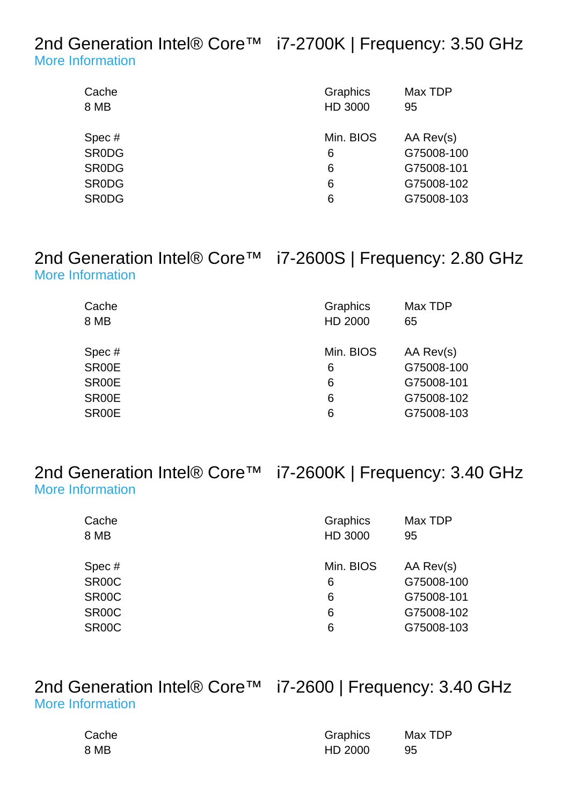2nd Generation Intel® Core<sup>™</sup> i7-2700K | Frequency: 3.50 GHz [More Information](http://ark.intel.com/Product.aspx?spec=SR0DG)

| Cache<br>8 MB | Graphics<br>HD 3000 | Max TDP<br>95 |
|---------------|---------------------|---------------|
| Spec#         | Min. BIOS           | AA Rev(s)     |
| <b>SRODG</b>  | 6                   | G75008-100    |
| <b>SRODG</b>  | 6                   | G75008-101    |
| <b>SRODG</b>  | 6                   | G75008-102    |
| <b>SRODG</b>  | 6                   | G75008-103    |
|               |                     |               |

## 2nd Generation Intel® Core™ i7-2600S | Frequency: 2.80 GHz [More Information](http://ark.intel.com/Product.aspx?spec=SR00E)

| Cache<br>8 MB | Graphics<br><b>HD 2000</b> | Max TDP<br>65 |
|---------------|----------------------------|---------------|
| Spec#         | Min. BIOS                  | AA Rev(s)     |
| SR00E         | 6                          | G75008-100    |
| SR00E         | 6                          | G75008-101    |
| SR00E         | 6                          | G75008-102    |
| SR00E         | 6                          | G75008-103    |

2nd Generation Intel® Core™ i7-2600K | Frequency: 3.40 GHz [More Information](http://ark.intel.com/Product.aspx?spec=SR00C)

| Cache              | Graphics  | Max TDP    |
|--------------------|-----------|------------|
| 8 MB               | HD 3000   | 95         |
|                    |           |            |
| Spec#              | Min. BIOS | AA Rev(s)  |
| SR00C              | 6         | G75008-100 |
| SR <sub>00</sub> C | 6         | G75008-101 |
| SR <sub>00</sub> C | 6         | G75008-102 |
| SR <sub>00</sub> C | 6         | G75008-103 |
|                    |           |            |

2nd Generation Intel® Core™ i7-2600 | Frequency: 3.40 GHz [More Information](http://ark.intel.com/Product.aspx?spec=SR00B)

| Cache | Graphics | Max TDP |
|-------|----------|---------|
| 8 MB  | HD 2000  | -95     |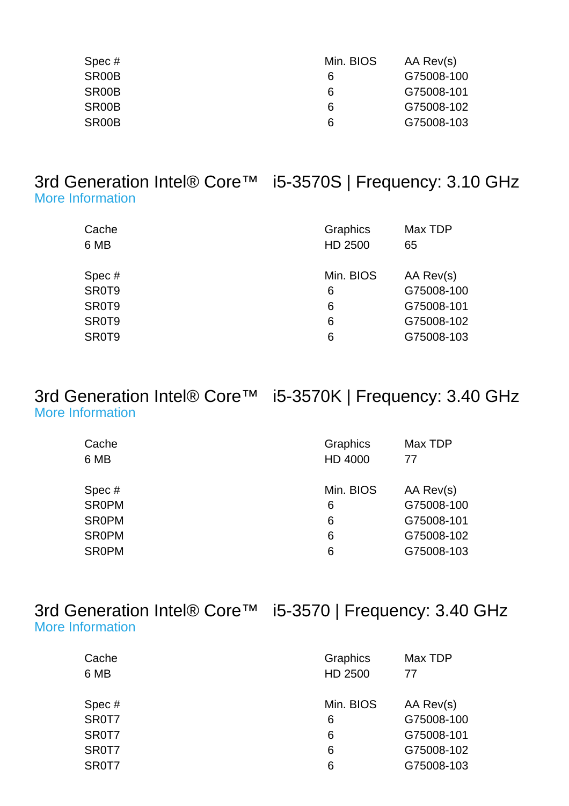| Min. BIOS | AA Rev(s)  |
|-----------|------------|
| 6         | G75008-100 |
| 6         | G75008-101 |
| 6         | G75008-102 |
| 6         | G75008-103 |
|           |            |

### 3rd Generation Intel® Core™ i5-3570S | Frequency: 3.10 GHz [More Information](http://ark.intel.com/Product.aspx?spec=SR0T9)

| Cache<br>6 MB | Graphics<br>HD 2500 | Max TDP<br>65 |
|---------------|---------------------|---------------|
| Spec#         | Min. BIOS           | AA Rev(s)     |
| SR0T9         | 6                   | G75008-100    |
| SR0T9         | 6                   | G75008-101    |
| SR0T9         | 6                   | G75008-102    |
| SR0T9         | 6                   | G75008-103    |
|               |                     |               |

## 3rd Generation Intel® Core™ i5-3570K | Frequency: 3.40 GHz [More Information](http://ark.intel.com/Product.aspx?spec=SR0PM)

| Cache        | Graphics  | Max TDP    |
|--------------|-----------|------------|
| 6 MB         | HD 4000   | 77         |
|              |           |            |
| Spec#        | Min. BIOS | AA Rev(s)  |
| <b>SR0PM</b> | 6         | G75008-100 |
| <b>SROPM</b> | 6         | G75008-101 |
| <b>SROPM</b> | 6         | G75008-102 |
| <b>SR0PM</b> | 6         | G75008-103 |

|                         | 3rd Generation Intel® Core™ i5-3570   Frequency: 3.40 GHz |
|-------------------------|-----------------------------------------------------------|
| <b>More Information</b> |                                                           |

| Cache | Graphics  | Max TDP    |
|-------|-----------|------------|
| 6 MB  | HD 2500   | 77         |
|       |           |            |
| Spec# | Min. BIOS | AA Rev(s)  |
| SR0T7 | 6         | G75008-100 |
| SR0T7 | 6         | G75008-101 |
| SR0T7 | 6         | G75008-102 |
| SR0T7 | 6         | G75008-103 |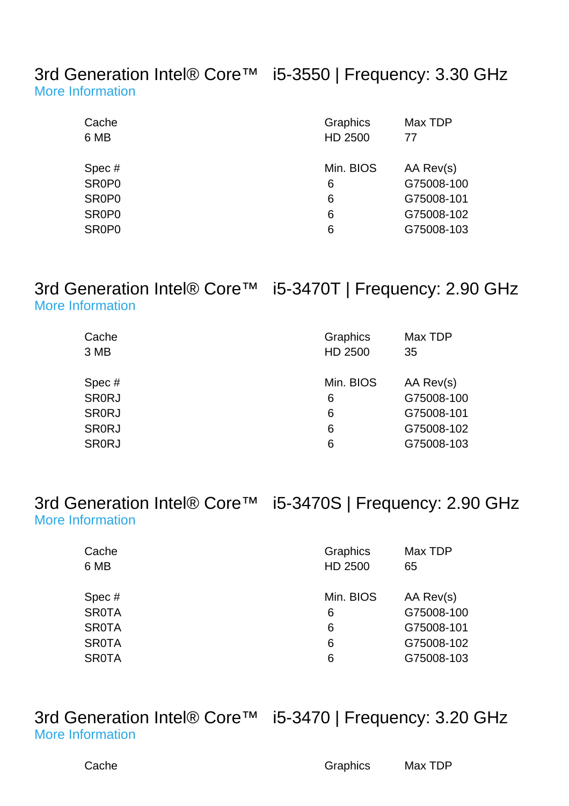3rd Generation Intel® Core™ i5-3550 | Frequency: 3.30 GHz [More Information](http://ark.intel.com/Product.aspx?spec=SR0P0)

| Cache<br>6 MB                  | Graphics<br>HD 2500 | Max TDP<br>77 |
|--------------------------------|---------------------|---------------|
| Spec#                          | Min. BIOS           | AA Rev(s)     |
| SR0P0                          | 6                   | G75008-100    |
| SR <sub>0</sub> P <sub>0</sub> | 6                   | G75008-101    |
| SR0P0                          | 6                   | G75008-102    |
| SR <sub>0</sub> P <sub>0</sub> | 6                   | G75008-103    |

## 3rd Generation Intel® Core™ i5-3470T | Frequency: 2.90 GHz [More Information](http://ark.intel.com/Product.aspx?spec=SR0RJ)

| Cache<br>3 MB | Graphics<br>HD 2500 | Max TDP<br>35 |
|---------------|---------------------|---------------|
| Spec#         | Min. BIOS           | AA Rev(s)     |
| <b>SRORJ</b>  | 6                   | G75008-100    |
| <b>SR0RJ</b>  | 6                   | G75008-101    |
| <b>SR0RJ</b>  | 6                   | G75008-102    |
| <b>SRORJ</b>  | 6                   | G75008-103    |

3rd Generation Intel® Core™ i5-3470S | Frequency: 2.90 GHz [More Information](http://ark.intel.com/Product.aspx?spec=SR0TA)

| Cache<br>6 MB | Graphics<br>HD 2500 | Max TDP<br>65 |
|---------------|---------------------|---------------|
| Spec#         | Min. BIOS           | AA Rev(s)     |
| <b>SR0TA</b>  | 6                   | G75008-100    |
| <b>SR0TA</b>  | 6                   | G75008-101    |
| <b>SR0TA</b>  | 6                   | G75008-102    |
| <b>SR0TA</b>  | 6                   | G75008-103    |
|               |                     |               |

3rd Generation Intel® Core™ i5-3470 | Frequency: 3.20 GHz [More Information](http://ark.intel.com/Product.aspx?spec=SR0T8)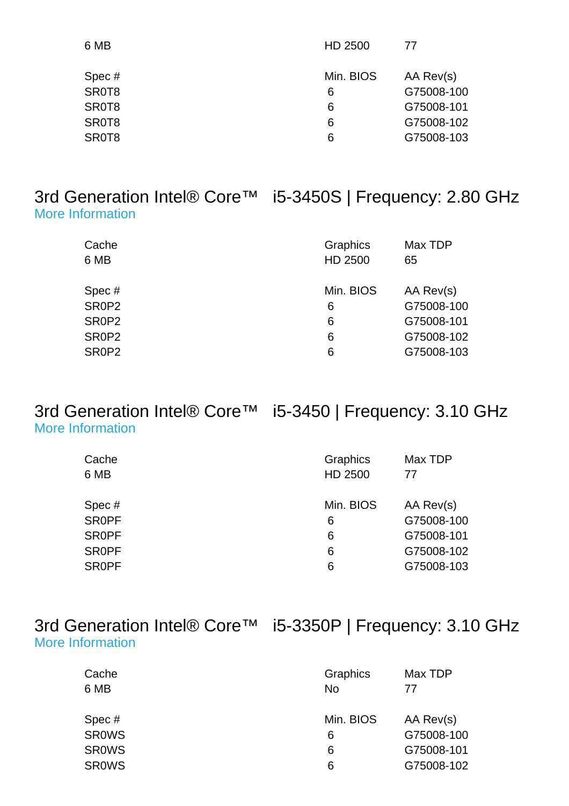| 6 MB  | HD 2500   | 77         |
|-------|-----------|------------|
| Spec# | Min. BIOS | AA Rev(s)  |
| SR0T8 | 6         | G75008-100 |
| SR0T8 | 6         | G75008-101 |
| SR0T8 | 6         | G75008-102 |
| SR0T8 | 6         | G75008-103 |
|       |           |            |

#### 3rd Generation Intel® Core™ i5-3450S | Frequency: 2.80 GHz [More Information](http://ark.intel.com/Product.aspx?spec=SR0P2)

| Cache<br>6 MB | Graphics<br>HD 2500 | Max TDP<br>65 |
|---------------|---------------------|---------------|
| Spec #        | Min. BIOS           | AA Rev(s)     |
| SR0P2         | 6                   | G75008-100    |
| SR0P2         | 6                   | G75008-101    |
| SR0P2         | 6                   | G75008-102    |
| SR0P2         | 6                   | G75008-103    |
|               |                     |               |

#### 3rd Generation Intel® Core™ i5-3450 | Frequency: 3.10 GHz [More Information](http://ark.intel.com/Product.aspx?spec=SR0PF)

| Cache        | Graphics  | Max TDP    |
|--------------|-----------|------------|
| 6 MB         | HD 2500   | 77         |
|              |           |            |
| Spec#        | Min. BIOS | AA Rev(s)  |
| <b>SROPF</b> | 6         | G75008-100 |
| <b>SROPF</b> | 6         | G75008-101 |
| <b>SROPF</b> | 6         | G75008-102 |
| <b>SROPF</b> | 6         | G75008-103 |

| 3rd Generation Intel® Core™ i5-3350P   Frequency: 3.10 GHz |  |
|------------------------------------------------------------|--|
| More Information                                           |  |

| Cache<br>6 MB | Graphics<br><b>No</b> | Max TDP<br>77 |
|---------------|-----------------------|---------------|
| Spec#         | Min. BIOS             | AA Rev(s)     |
| <b>SROWS</b>  | 6                     | G75008-100    |
| <b>SROWS</b>  | 6                     | G75008-101    |
| <b>SROWS</b>  | 6                     | G75008-102    |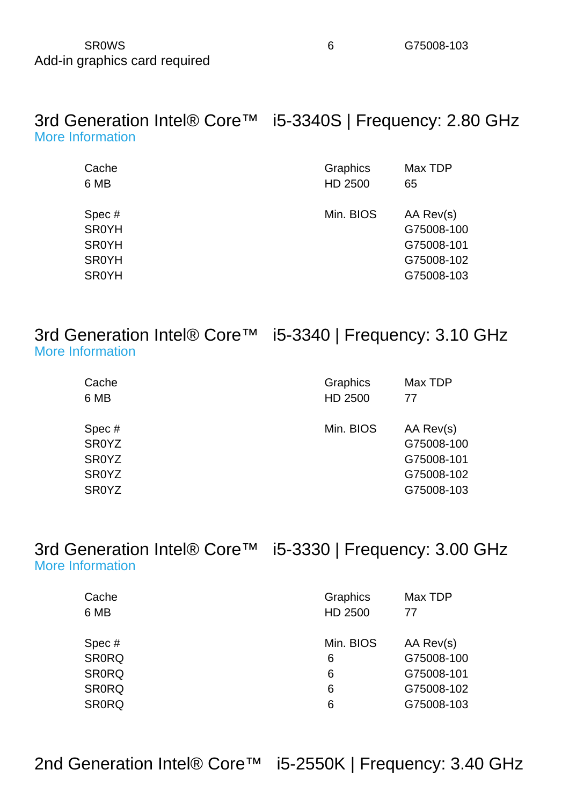#### SR0WS [6](http://downloadcenter.intel.com/Product_Filter.aspx?ProductID=3557) G75008-103 Add-in graphics card required

| 3rd Generation Intel® Core <sup>™</sup> i5-3340S   Frequency: 2.80 GHz<br><b>More Information</b> |                 |         |  |
|---------------------------------------------------------------------------------------------------|-----------------|---------|--|
| Cache                                                                                             | <b>Graphics</b> | Max TDP |  |

| Min. BIOS<br>AA Rev(s)<br>Spec#<br><b>SR0YH</b><br>G75008-100<br>G75008-101<br><b>SR0YH</b><br><b>SR0YH</b><br>G75008-102 | 6 MB         | HD 2500 | 65         |
|---------------------------------------------------------------------------------------------------------------------------|--------------|---------|------------|
|                                                                                                                           | <b>SR0YH</b> |         | G75008-103 |

3rd Generation Intel® Core™ i5-3340 | Frequency: 3.10 GHz [More Information](http://ark.intel.com/Product.aspx?spec=SR0YZ)

| Graphics<br>HD 2500 | Max TDP<br>77                                                     |
|---------------------|-------------------------------------------------------------------|
| Min. BIOS           | AA Rev(s)<br>G75008-100<br>G75008-101<br>G75008-102<br>G75008-103 |
|                     |                                                                   |

3rd Generation Intel® Core™ i5-3330 | Frequency: 3.00 GHz [More Information](http://ark.intel.com/Product.aspx?spec=SR0RQ)

| Cache<br>6 MB | Graphics<br>HD 2500 | Max TDP<br>77 |
|---------------|---------------------|---------------|
| Spec#         | Min. BIOS           | AA Rev(s)     |
| <b>SR0RQ</b>  | 6                   | G75008-100    |
| <b>SR0RQ</b>  | 6                   | G75008-101    |
| <b>SR0RQ</b>  | 6                   | G75008-102    |
| <b>SR0RQ</b>  | 6                   | G75008-103    |

2nd Generation Intel® Core™ i5-2550K | Frequency: 3.40 GHz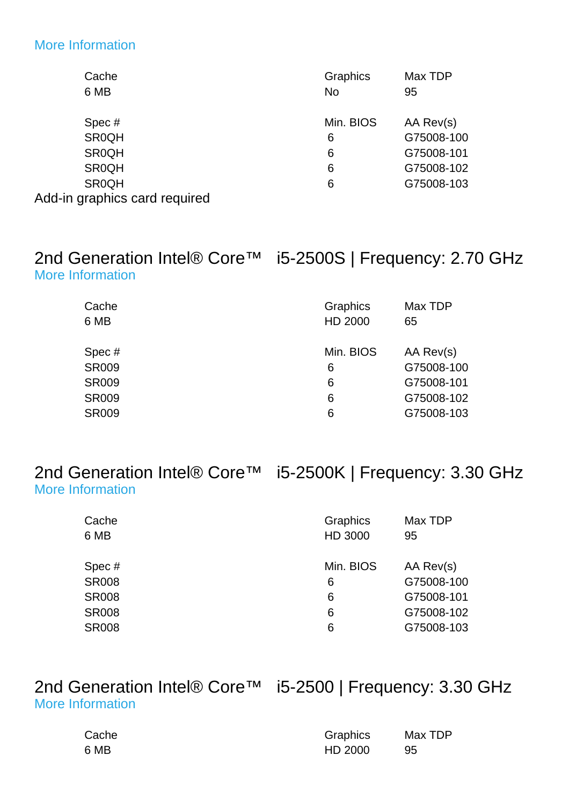#### [More Information](http://ark.intel.com/Product.aspx?spec=SR0QH)

| Cache                         | Graphics  | Max TDP    |
|-------------------------------|-----------|------------|
| 6 MB                          | <b>No</b> | 95         |
| Spec#                         | Min. BIOS | AA Rev(s)  |
| <b>SR0QH</b>                  | 6         | G75008-100 |
| <b>SR0QH</b>                  | 6         | G75008-101 |
| <b>SR0QH</b>                  | 6         | G75008-102 |
| <b>SR0QH</b>                  | 6         | G75008-103 |
| Add-in graphics card required |           |            |

## 2nd Generation Intel® Core™ i5-2500S | Frequency: 2.70 GHz [More Information](http://ark.intel.com/Product.aspx?spec=SR009)

| Cache<br>6 MB | Graphics<br>HD 2000 | Max TDP<br>65 |
|---------------|---------------------|---------------|
| Spec#         | Min. BIOS           | AA Rev(s)     |
| <b>SR009</b>  | 6                   | G75008-100    |
| <b>SR009</b>  | 6                   | G75008-101    |
| <b>SR009</b>  | 6                   | G75008-102    |
| <b>SR009</b>  | 6                   | G75008-103    |

2nd Generation Intel® Core™ i5-2500K | Frequency: 3.30 GHz [More Information](http://ark.intel.com/Product.aspx?spec=SR008)

| Cache        | Graphics  | Max TDP    |
|--------------|-----------|------------|
| 6 MB         | HD 3000   | 95         |
|              |           |            |
| Spec #       | Min. BIOS | AA Rev(s)  |
| <b>SR008</b> | 6         | G75008-100 |
| <b>SR008</b> | 6         | G75008-101 |
| <b>SR008</b> | 6         | G75008-102 |
| <b>SR008</b> | 6         | G75008-103 |
|              |           |            |

## 2nd Generation Intel® Core™ i5-2500 | Frequency: 3.30 GHz [More Information](http://ark.intel.com/Product.aspx?spec=SR00T)

| Cache | Graphics | Max TDP |
|-------|----------|---------|
| 6 MB  | HD 2000  | -95     |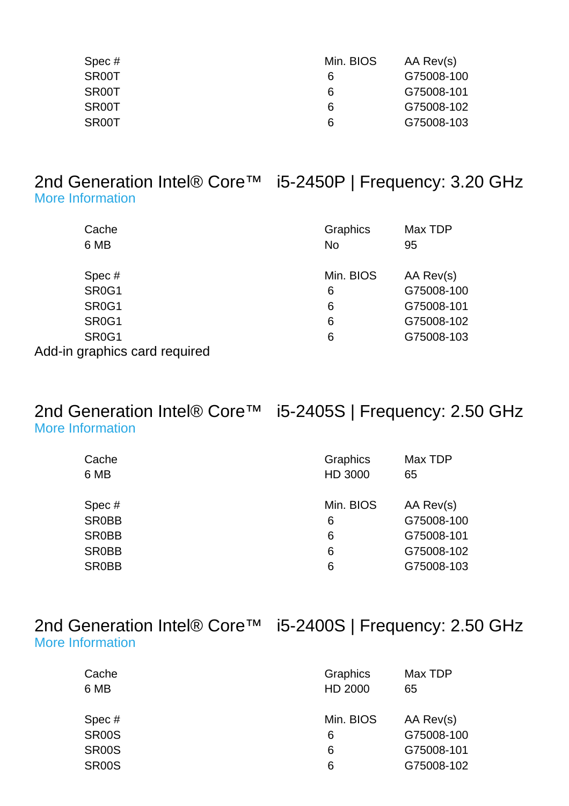| Spec#              | Min. BIOS | AA Rev(s)  |
|--------------------|-----------|------------|
| SR00T              | 6         | G75008-100 |
| SR <sub>00</sub> T | 6         | G75008-101 |
| SR00T              | 6         | G75008-102 |
| SR <sub>00</sub> T | 6         | G75008-103 |

#### 2nd Generation Intel® Core™ i5-2450P | Frequency: 3.20 GHz [More Information](http://ark.intel.com/Product.aspx?spec=SR0G1)

| Cache<br>6 MB                  | Graphics<br><b>No</b> | Max TDP<br>95 |
|--------------------------------|-----------------------|---------------|
| Spec#                          | Min. BIOS             | AA Rev(s)     |
| SR <sub>0</sub> G <sub>1</sub> | 6                     | G75008-100    |
| SR <sub>0</sub> G <sub>1</sub> | 6                     | G75008-101    |
| SR <sub>0</sub> G <sub>1</sub> | 6                     | G75008-102    |
| SR <sub>0</sub> G <sub>1</sub> | 6                     | G75008-103    |
| Add-in graphics card required  |                       |               |

## 2nd Generation Intel® Core™ i5-2405S | Frequency: 2.50 GHz [More Information](http://ark.intel.com/Product.aspx?spec=SR0BB)

| Cache        | Graphics  | Max TDP    |
|--------------|-----------|------------|
| 6 MB         | HD 3000   | 65         |
|              |           |            |
| Spec#        | Min. BIOS | AA Rev(s)  |
| <b>SR0BB</b> | 6         | G75008-100 |
| <b>SR0BB</b> | 6         | G75008-101 |
| <b>SR0BB</b> | 6         | G75008-102 |
| <b>SR0BB</b> | 6         | G75008-103 |

| 2nd Generation Intel® Core™ |  |
|-----------------------------|--|
| <b>More Information</b>     |  |

## 15-2400S | Frequency: 2.50 GHz

| Cache<br>6 MB | Graphics<br>HD 2000 | Max TDP<br>65 |
|---------------|---------------------|---------------|
| Spec#         | Min. BIOS           | AA Rev(s)     |
| <b>SR00S</b>  | 6                   | G75008-100    |
| <b>SR00S</b>  | 6                   | G75008-101    |
| <b>SR00S</b>  | 6                   | G75008-102    |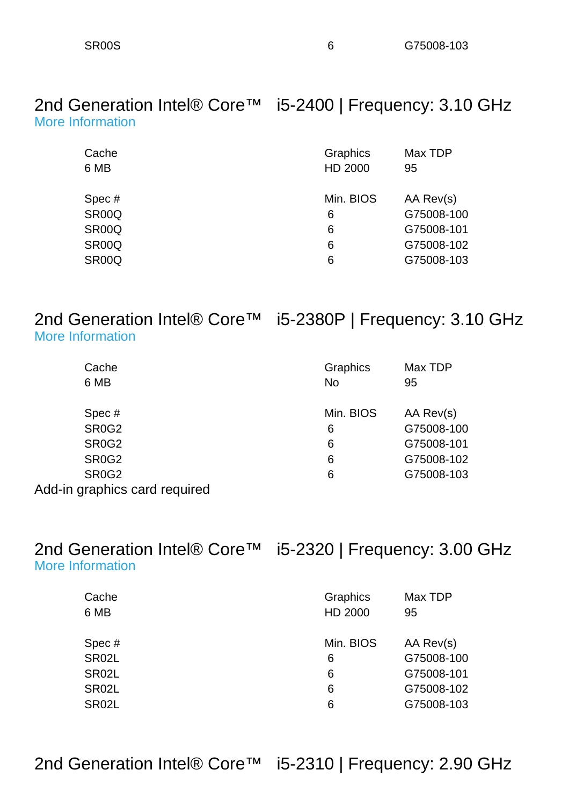2nd Generation Intel® Core™ i5-2400 | Frequency: 3.10 GHz [More Information](http://ark.intel.com/Product.aspx?spec=SR00Q)

| Graphics  | Max TDP    |
|-----------|------------|
| HD 2000   | 95         |
|           |            |
| Min. BIOS | AA Rev(s)  |
| 6         | G75008-100 |
| 6         | G75008-101 |
| 6         | G75008-102 |
| 6         | G75008-103 |
|           |            |

## 2nd Generation Intel® Core<sup>™</sup> i5-2380P | Frequency: 3.10 GHz [More Information](http://ark.intel.com/Product.aspx?spec=SR0G2)

| Cache                          | Graphics  | Max TDP    |
|--------------------------------|-----------|------------|
| 6 MB                           | <b>No</b> | 95         |
| Spec#                          | Min. BIOS | AA Rev(s)  |
| SR <sub>0</sub> G <sub>2</sub> | 6         | G75008-100 |
| SR <sub>0</sub> G <sub>2</sub> | 6         | G75008-101 |
| SR <sub>0</sub> G <sub>2</sub> | 6         | G75008-102 |
| SR <sub>0</sub> G <sub>2</sub> | 6         | G75008-103 |
| Add-in graphics card required  |           |            |

#### 2nd Generation Intel® Core™ i5-2320 | Frequency: 3.00 GHz [More Information](http://ark.intel.com/Product.aspx?spec=SR02L)

| Cache<br>6 MB | Graphics<br>HD 2000 | Max TDP<br>95 |
|---------------|---------------------|---------------|
| Spec#         | Min. BIOS           | AA Rev(s)     |
| SR02L         | 6                   | G75008-100    |
| SR02L         | 6                   | G75008-101    |
| SR02L         | 6                   | G75008-102    |
| SR02L         | 6                   | G75008-103    |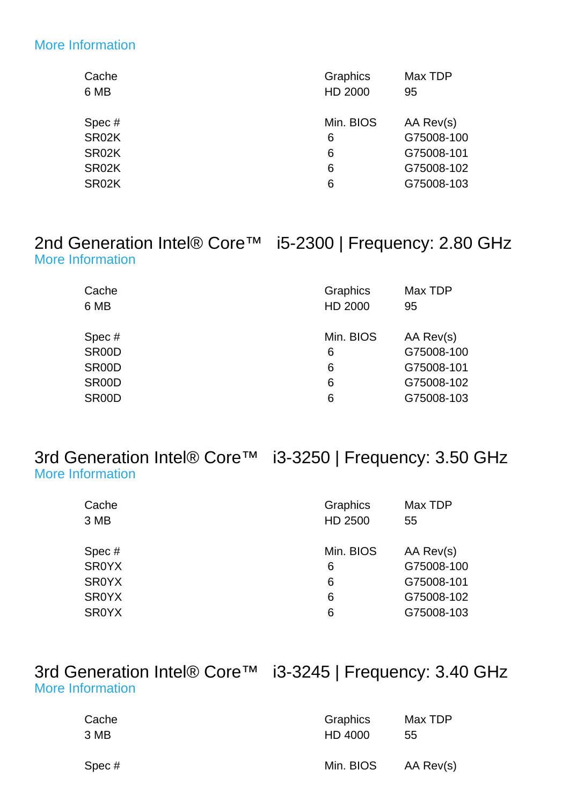#### [More Information](http://ark.intel.com/Product.aspx?spec=SR02K)

| Cache | Graphics  | Max TDP    |
|-------|-----------|------------|
| 6 MB  | HD 2000   | 95         |
|       |           |            |
| Spec# | Min. BIOS | AA Rev(s)  |
| SR02K | 6         | G75008-100 |
| SR02K | 6         | G75008-101 |
| SR02K | 6         | G75008-102 |
| SR02K | 6         | G75008-103 |
|       |           |            |

## 2nd Generation Intel® Core™ i5-2300 | Frequency: 2.80 GHz [More Information](http://ark.intel.com/Product.aspx?spec=SR00D)

| Cache<br>6 MB | Graphics<br>HD 2000 | Max TDP<br>95 |
|---------------|---------------------|---------------|
| Spec#         | Min. BIOS           | AA Rev(s)     |
| SR00D         | 6                   | G75008-100    |
| SR00D         | 6                   | G75008-101    |
| SR00D         | 6                   | G75008-102    |
| SR00D         | 6                   | G75008-103    |

#### 3rd Generation Intel® Core™ i3-3250 | Frequency: 3.50 GHz [More Information](http://ark.intel.com/Product.aspx?spec=SR0YX)

| Cache<br>3 MB | Graphics<br>HD 2500 | Max TDP<br>55 |
|---------------|---------------------|---------------|
| Spec #        | Min. BIOS           | AA Rev(s)     |
| <b>SR0YX</b>  | 6                   | G75008-100    |
| <b>SR0YX</b>  | 6                   | G75008-101    |
| <b>SR0YX</b>  | 6                   | G75008-102    |
| <b>SR0YX</b>  | 6                   | G75008-103    |

## 3rd Generation Intel® Core™ i3-3245 | Frequency: 3.40 GHz [More Information](http://ark.intel.com/Product.aspx?spec=SR0YL)

| Cache | Graphics  | Max TDP   |
|-------|-----------|-----------|
| 3 MB  | HD 4000   | 55        |
| Spec# | Min. BIOS | AA Rev(s) |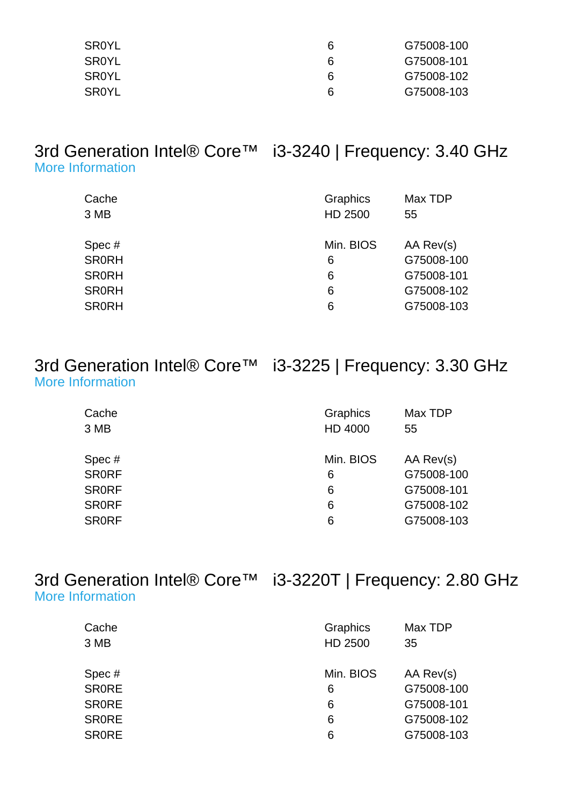| SR0YL | ĥ | G75008-100 |
|-------|---|------------|
| SR0YL | ĥ | G75008-101 |
| SR0YL | ĥ | G75008-102 |
| SR0YL | 6 | G75008-103 |

## 3rd Generation Intel® Core™ i3-3240 | Frequency: 3.40 GHz [More Information](http://ark.intel.com/Product.aspx?spec=SR0RH)

| Cache<br>3 MB | Graphics<br>HD 2500 | Max TDP<br>55 |
|---------------|---------------------|---------------|
| Spec#         | Min. BIOS           | AA Rev(s)     |
| <b>SR0RH</b>  | 6                   | G75008-100    |
| <b>SRORH</b>  | 6                   | G75008-101    |
| <b>SR0RH</b>  | 6                   | G75008-102    |
| <b>SR0RH</b>  | 6                   | G75008-103    |

|                         | 3rd Generation Intel® Core <sup>™</sup> i3-3225   Frequency: 3.30 GHz |
|-------------------------|-----------------------------------------------------------------------|
| <b>More Information</b> |                                                                       |

| Cache<br>3 MB | Graphics<br>HD 4000 | Max TDP<br>55 |
|---------------|---------------------|---------------|
| Spec#         | Min. BIOS           | AA Rev(s)     |
| <b>SRORF</b>  | 6                   | G75008-100    |
| <b>SR0RF</b>  | 6                   | G75008-101    |
| <b>SRORF</b>  | 6                   | G75008-102    |
| <b>SRORF</b>  | 6                   | G75008-103    |
|               |                     |               |

3rd Generation Intel® Core™ i3-3220T | Frequency: 2.80 GHz [More Information](http://ark.intel.com/Product.aspx?spec=SR0RE)

| Cache<br>3 MB | Graphics<br>HD 2500 | Max TDP<br>35 |
|---------------|---------------------|---------------|
| Spec#         | Min. BIOS           | AA Rev(s)     |
| <b>SRORE</b>  | 6                   | G75008-100    |
| <b>SRORE</b>  | 6                   | G75008-101    |
| <b>SRORE</b>  | 6                   | G75008-102    |
| <b>SRORE</b>  | 6                   | G75008-103    |
|               |                     |               |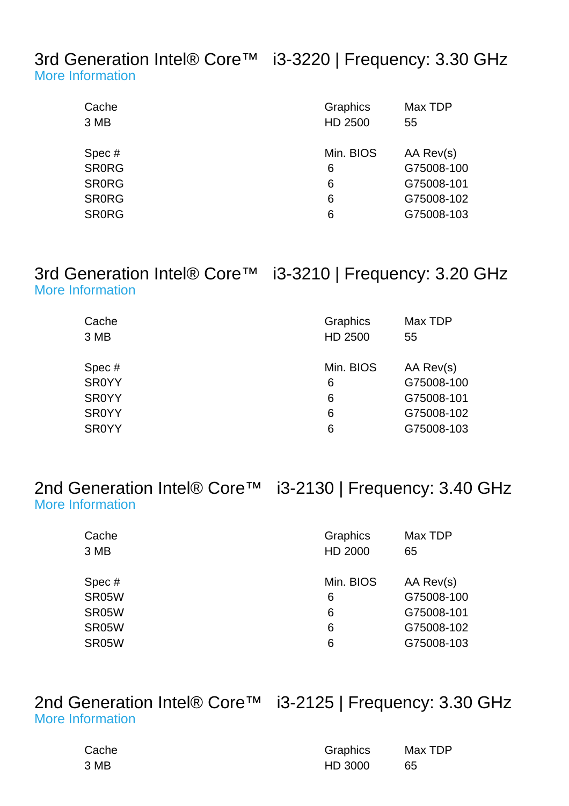3rd Generation Intel® Core™ i3-3220 | Frequency: 3.30 GHz [More Information](http://ark.intel.com/Product.aspx?spec=SR0RG)

| Cache<br>3 MB | Graphics<br>HD 2500 | Max TDP<br>55 |
|---------------|---------------------|---------------|
| Spec#         | Min. BIOS           | AA Rev(s)     |
| <b>SR0RG</b>  | 6                   | G75008-100    |
| <b>SR0RG</b>  | 6                   | G75008-101    |
| <b>SR0RG</b>  | 6                   | G75008-102    |
| <b>SR0RG</b>  | 6                   | G75008-103    |
|               |                     |               |

#### 3rd Generation Intel® Core™ i3-3210 | Frequency: 3.20 GHz [More Information](http://ark.intel.com/Product.aspx?spec=SR0YY)

| Cache<br>3 MB | Graphics<br>HD 2500 | Max TDP<br>55 |
|---------------|---------------------|---------------|
| Spec#         | Min. BIOS           | AA Rev(s)     |
| <b>SR0YY</b>  | 6                   | G75008-100    |
| <b>SR0YY</b>  | 6                   | G75008-101    |
| <b>SR0YY</b>  | 6                   | G75008-102    |
| <b>SR0YY</b>  | 6                   | G75008-103    |

2nd Generation Intel® Core™ i3-2130 | Frequency: 3.40 GHz [More Information](http://ark.intel.com/Product.aspx?spec=SR05W)

| Cache<br>3 MB | Graphics<br>HD 2000 | Max TDP<br>65 |
|---------------|---------------------|---------------|
| Spec #        | Min. BIOS           | AA Rev(s)     |
| SR05W         | 6                   | G75008-100    |
| SR05W         | 6                   | G75008-101    |
| SR05W         | 6                   | G75008-102    |
| SR05W         | 6                   | G75008-103    |
|               |                     |               |

### 2nd Generation Intel® Core<sup>™</sup> i3-2125 | Frequency: 3.30 GHz [More Information](http://ark.intel.com/Product.aspx?spec=SR0AY)

| Cache | Graphics | Max TDP |
|-------|----------|---------|
| 3 MB  | HD 3000  | 65      |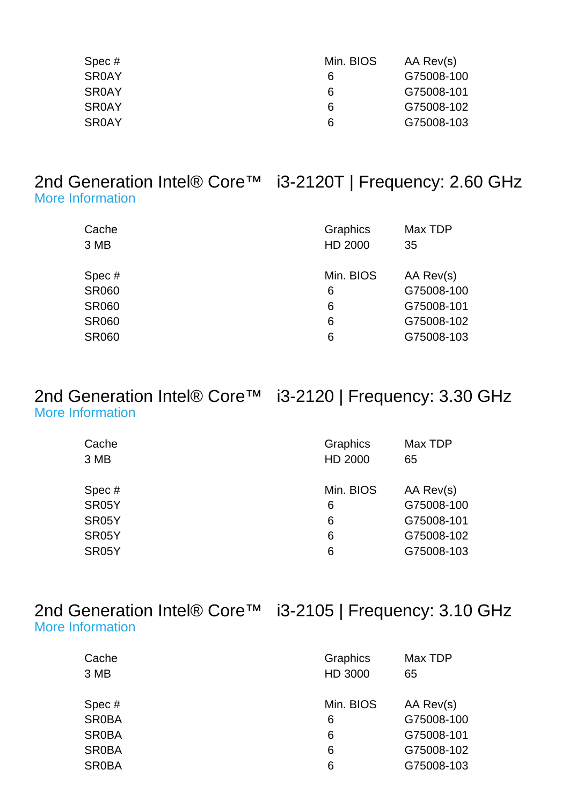| Spec#        | Min. BIOS | AA Rev(s)  |
|--------------|-----------|------------|
| <b>SR0AY</b> | 6         | G75008-100 |
| <b>SR0AY</b> | 6         | G75008-101 |
| <b>SR0AY</b> | 6         | G75008-102 |
| <b>SR0AY</b> | 6         | G75008-103 |

#### 2nd Generation Intel® Core™ i3-2120T | Frequency: 2.60 GHz [More Information](http://ark.intel.com/Product.aspx?spec=SR060)

| Cache        | Graphics  | Max TDP    |
|--------------|-----------|------------|
| 3 MB         | HD 2000   | 35         |
| Spec#        | Min. BIOS | AA Rev(s)  |
| <b>SR060</b> | 6         | G75008-100 |
| <b>SR060</b> | 6         | G75008-101 |
| <b>SR060</b> | 6         | G75008-102 |
| <b>SR060</b> | 6         | G75008-103 |

## 2nd Generation Intel® Core™ i3-2120 | Frequency: 3.30 GHz [More Information](http://ark.intel.com/Product.aspx?spec=SR05Y)

| Cache              | Graphics  | Max TDP    |
|--------------------|-----------|------------|
| 3 MB               | HD 2000   | 65         |
|                    |           |            |
| Spec#              | Min. BIOS | AA Rev(s)  |
| SR05Y              | 6         | G75008-100 |
| SR <sub>05</sub> Y | 6         | G75008-101 |
| SR <sub>05</sub> Y | 6         | G75008-102 |
| SR05Y              | 6         | G75008-103 |

|                  | 2nd Generation Intel® Core™ i3-2105   Frequency: 3.10 GHz |
|------------------|-----------------------------------------------------------|
| More Information |                                                           |

| Cache        | Graphics  | Max TDP    |
|--------------|-----------|------------|
| 3 MB         | HD 3000   | 65         |
|              |           |            |
| Spec#        | Min. BIOS | AA Rev(s)  |
| <b>SR0BA</b> | 6         | G75008-100 |
| <b>SR0BA</b> | 6         | G75008-101 |
| <b>SR0BA</b> | 6         | G75008-102 |
| <b>SR0BA</b> | 6         | G75008-103 |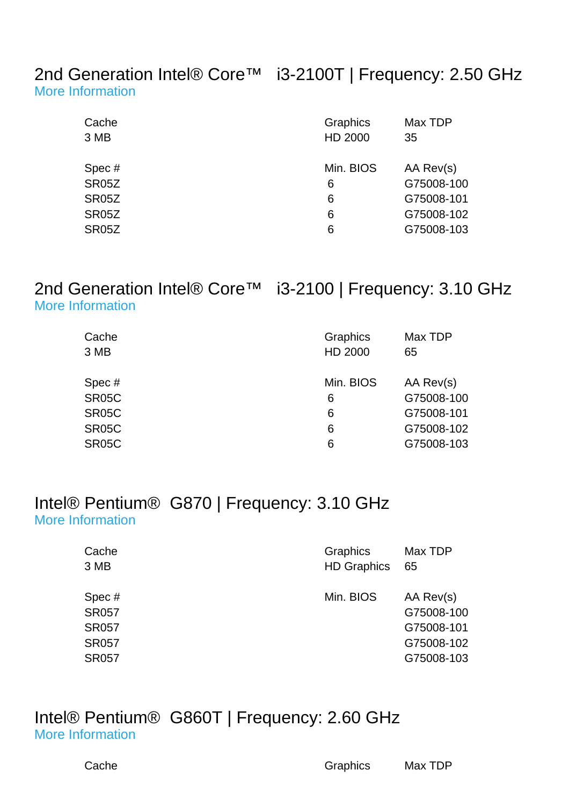#### 2nd Generation Intel® Core™ i3-2100T | Frequency: 2.50 GHz [More Information](http://ark.intel.com/Product.aspx?spec=SR05Z)

| Cache              | Graphics  | Max TDP    |
|--------------------|-----------|------------|
| 3 MB               | HD 2000   | 35         |
|                    |           |            |
| Spec#              | Min. BIOS | AA Rev(s)  |
| <b>SR05Z</b>       | 6         | G75008-100 |
| <b>SR05Z</b>       | 6         | G75008-101 |
| SR05Z              | 6         | G75008-102 |
| SR <sub>05</sub> Z | 6         | G75008-103 |

# [More Information](http://ark.intel.com/Product.aspx?spec=SR05C)

2nd Generation Intel® Core™ i3-2100 | Frequency: 3.10 GHz

| <b>More Information</b> |  |  |
|-------------------------|--|--|
|                         |  |  |
|                         |  |  |

| Cache        | Graphics  | Max TDP    |
|--------------|-----------|------------|
| 3 MB         | HD 2000   | 65         |
|              |           |            |
| Spec#        | Min. BIOS | AA Rev(s)  |
| <b>SR05C</b> | 6         | G75008-100 |
| <b>SR05C</b> | 6         | G75008-101 |
| <b>SR05C</b> | 6         | G75008-102 |
| <b>SR05C</b> | 6         | G75008-103 |

### Intel® Pentium® G870 | Frequency: 3.10 GHz [More Information](http://ark.intel.com/Product.aspx?spec=SR057)

| Cache                                                                 | Graphics           | Max TDP                                                           |
|-----------------------------------------------------------------------|--------------------|-------------------------------------------------------------------|
| 3 MB                                                                  | <b>HD Graphics</b> | 65                                                                |
| Spec#<br><b>SR057</b><br><b>SR057</b><br><b>SR057</b><br><b>SR057</b> | Min. BIOS          | AA Rev(s)<br>G75008-100<br>G75008-101<br>G75008-102<br>G75008-103 |

#### Intel® Pentium® G860T | Frequency: 2.60 GHz [More Information](http://ark.intel.com/Product.aspx?spec=SR0MF)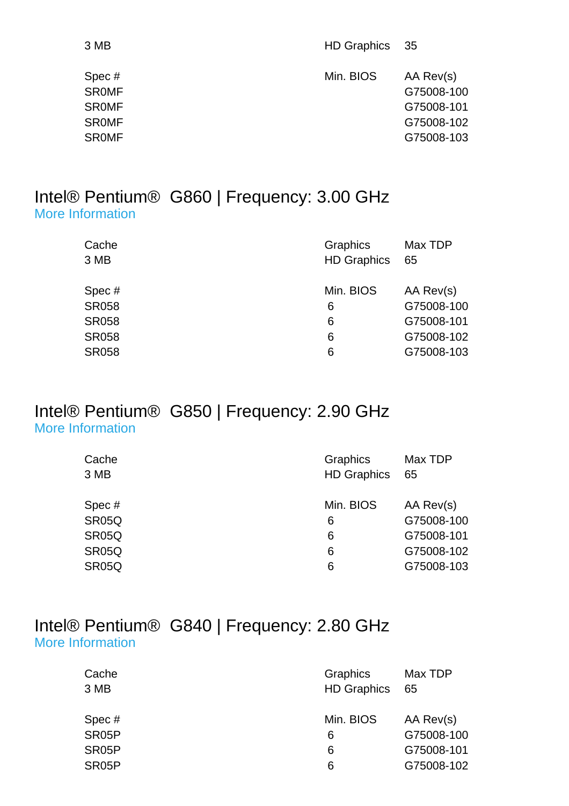| 3 MB                                                                  | HD Graphics 35 |                                                                   |
|-----------------------------------------------------------------------|----------------|-------------------------------------------------------------------|
| Spec#<br><b>SROMF</b><br><b>SROMF</b><br><b>SROMF</b><br><b>SROMF</b> | Min. BIOS      | AA Rev(s)<br>G75008-100<br>G75008-101<br>G75008-102<br>G75008-103 |
|                                                                       |                |                                                                   |

#### Intel® Pentium® G860 | Frequency: 3.00 GHz [More Information](http://ark.intel.com/Product.aspx?spec=SR058)

| Graphics<br><b>HD Graphics</b> | Max TDP<br>65 |
|--------------------------------|---------------|
| Min. BIOS                      | AA Rev(s)     |
| 6                              | G75008-100    |
| 6                              | G75008-101    |
| 6                              | G75008-102    |
| 6                              | G75008-103    |
|                                |               |

### Intel® Pentium® G850 | Frequency: 2.90 GHz [More Information](http://ark.intel.com/Product.aspx?spec=SR05Q)

| Cache              | Graphics           | Max TDP    |
|--------------------|--------------------|------------|
| 3 MB               | <b>HD Graphics</b> | 65         |
|                    |                    |            |
| Spec#              | Min. BIOS          | AA Rev(s)  |
| SR05Q              | 6                  | G75008-100 |
| SR <sub>05</sub> Q | 6                  | G75008-101 |
| SR05Q              | 6                  | G75008-102 |
| SR05Q              | 6                  | G75008-103 |

## Intel® Pentium® G840 | Frequency: 2.80 GHz [More Information](http://ark.intel.com/Product.aspx?spec=SR05P)

| Cache<br>3 MB      | <b>Graphics</b><br><b>HD Graphics</b> | Max TDP<br>65 |
|--------------------|---------------------------------------|---------------|
| Spec#              | Min. BIOS                             | AA Rev(s)     |
| SR05P              | 6                                     | G75008-100    |
| SR <sub>05</sub> P | 6                                     | G75008-101    |
| SR <sub>05</sub> P | 6                                     | G75008-102    |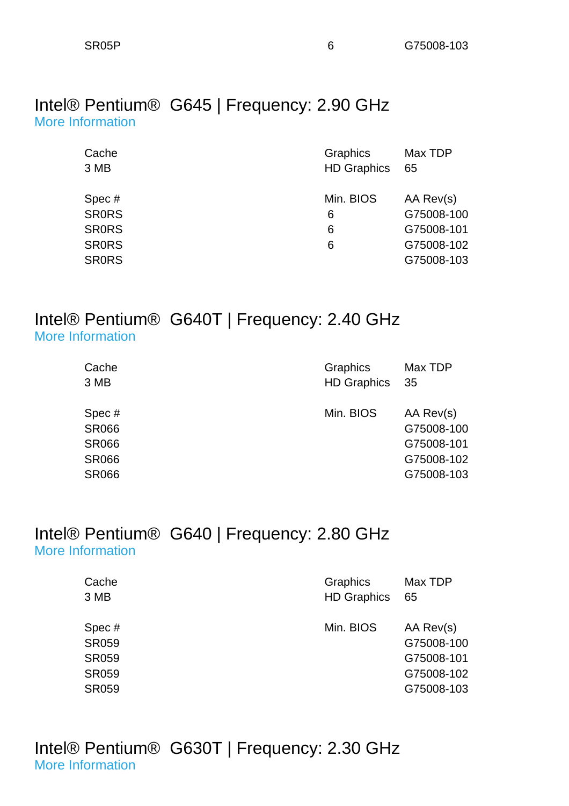#### Intel® Pentium® G645 | Frequency: 2.90 GHz [More Information](http://ark.intel.com/Product.aspx?spec=SR0RS)

| Cache        | Graphics           | Max TDP    |
|--------------|--------------------|------------|
| 3 MB         | <b>HD Graphics</b> | 65         |
|              |                    |            |
| Spec#        | Min. BIOS          | AA Rev(s)  |
| <b>SRORS</b> | 6                  | G75008-100 |
| <b>SRORS</b> | 6                  | G75008-101 |
| <b>SRORS</b> | 6                  | G75008-102 |
| <b>SRORS</b> |                    | G75008-103 |

## Intel® Pentium® G640T | Frequency: 2.40 GHz [More Information](http://ark.intel.com/Product.aspx?spec=SR066)

| Cache<br>3 MB | Graphics<br><b>HD Graphics</b> | Max TDP<br>-35 |
|---------------|--------------------------------|----------------|
| Spec#         | Min. BIOS                      | AA Rev(s)      |
| <b>SR066</b>  |                                | G75008-100     |
| <b>SR066</b>  |                                | G75008-101     |
| <b>SR066</b>  |                                | G75008-102     |
| <b>SR066</b>  |                                | G75008-103     |

## Intel® Pentium® G640 | Frequency: 2.80 GHz [More Information](http://ark.intel.com/Product.aspx?spec=SR059)

| Cache                                                                 | <b>Graphics</b>    | Max TDP                                                           |
|-----------------------------------------------------------------------|--------------------|-------------------------------------------------------------------|
| 3 MB                                                                  | <b>HD Graphics</b> | 65                                                                |
| Spec#<br><b>SR059</b><br><b>SR059</b><br><b>SR059</b><br><b>SR059</b> | Min. BIOS          | AA Rev(s)<br>G75008-100<br>G75008-101<br>G75008-102<br>G75008-103 |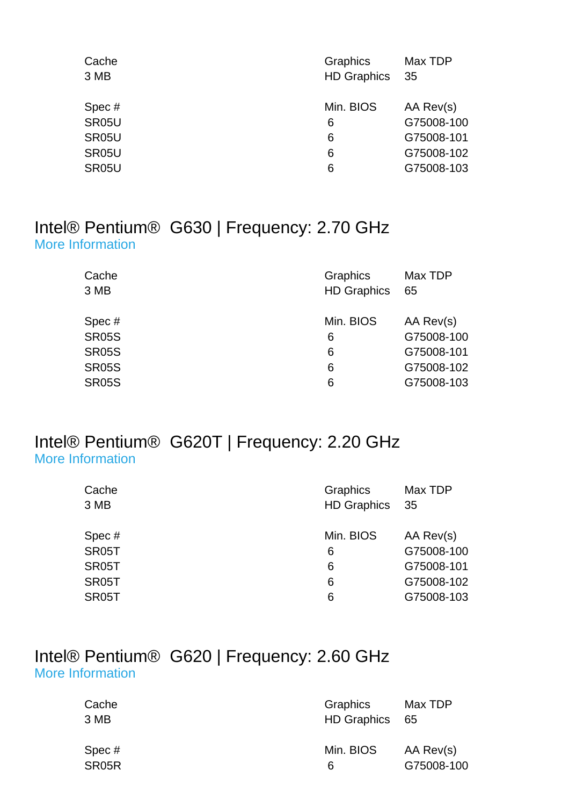| Cache | Graphics           | Max TDP    |
|-------|--------------------|------------|
| 3 MB  | <b>HD Graphics</b> | -35        |
|       |                    |            |
| Spec# | Min. BIOS          | AA Rev(s)  |
| SR05U | 6                  | G75008-100 |
| SR05U | 6                  | G75008-101 |
| SR05U | 6                  | G75008-102 |
| SR05U | 6                  | G75008-103 |
|       |                    |            |

## Intel® Pentium® G630 | Frequency: 2.70 GHz [More Information](http://ark.intel.com/Product.aspx?spec=SR05S)

| Cache<br>3 MB | Graphics<br><b>HD Graphics</b> | Max TDP<br>65 |
|---------------|--------------------------------|---------------|
| Spec#         | Min. BIOS                      | AA Rev(s)     |
| <b>SR05S</b>  | 6                              | G75008-100    |
| <b>SR05S</b>  | 6                              | G75008-101    |
| <b>SR05S</b>  | 6                              | G75008-102    |
| <b>SR05S</b>  | 6                              | G75008-103    |
|               |                                |               |

#### Intel® Pentium® G620T | Frequency: 2.20 GHz [More Information](http://ark.intel.com/Product.aspx?spec=SR05T)

| Cache<br>3 MB | Graphics<br><b>HD Graphics</b> | Max TDP<br>35 |
|---------------|--------------------------------|---------------|
| Spec#         | Min. BIOS                      | AA Rev(s)     |
| SR05T         | 6                              | G75008-100    |
| SR05T         | 6                              | G75008-101    |
| SR05T         | 6                              | G75008-102    |
| SR05T         | 6                              | G75008-103    |
|               |                                |               |

### Intel® Pentium® G620 | Frequency: 2.60 GHz [More Information](http://ark.intel.com/Product.aspx?spec=SR05R)

| Cache<br>3 MB | Graphics<br>HD Graphics 65 | Max TDP    |
|---------------|----------------------------|------------|
| Spec#         | Min. BIOS                  | AA Rev(s)  |
| SR05R         | 6                          | G75008-100 |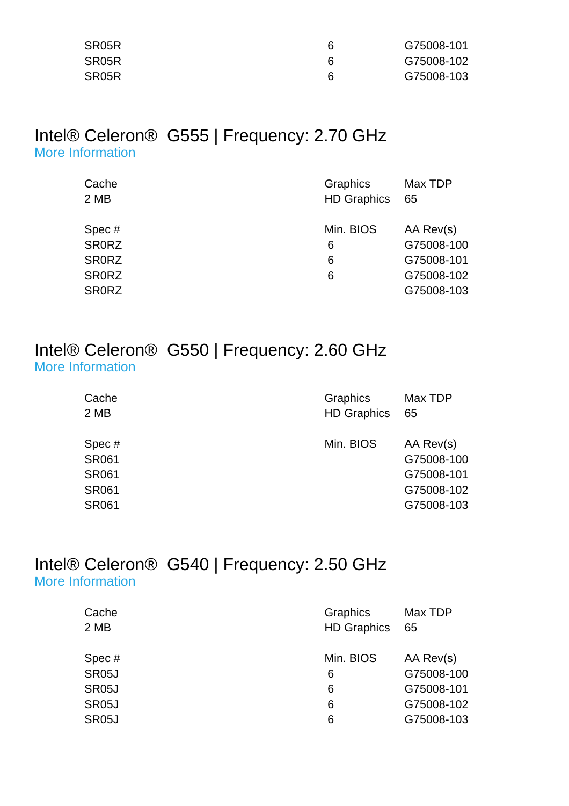| SR05R              |    | G75008-101 |
|--------------------|----|------------|
| SR <sub>05</sub> R |    | G75008-102 |
| SR05R              | ิค | G75008-103 |

## Intel® Celeron® G555 | Frequency: 2.70 GHz [More Information](http://ark.intel.com/Product.aspx?spec=SR0RZ)

| Cache        | Graphics           | Max TDP    |
|--------------|--------------------|------------|
| 2 MB         | <b>HD Graphics</b> | -65        |
|              |                    |            |
| Spec#        | Min. BIOS          | AA Rev(s)  |
| <b>SRORZ</b> | 6                  | G75008-100 |
| <b>SRORZ</b> | 6                  | G75008-101 |
| <b>SRORZ</b> | 6                  | G75008-102 |
| <b>SRORZ</b> |                    | G75008-103 |

#### Intel® Celeron® G550 | Frequency: 2.60 GHz [More Information](http://ark.intel.com/Product.aspx?spec=SR061)

| Cache                                                                 | Graphics           | Max TDP                                                           |
|-----------------------------------------------------------------------|--------------------|-------------------------------------------------------------------|
| 2 MB                                                                  | <b>HD Graphics</b> | 65                                                                |
| Spec#<br><b>SR061</b><br><b>SR061</b><br><b>SR061</b><br><b>SR061</b> | Min. BIOS          | AA Rev(s)<br>G75008-100<br>G75008-101<br>G75008-102<br>G75008-103 |

#### Intel® Celeron® G540 | Frequency: 2.50 GHz [More Information](http://ark.intel.com/Product.aspx?spec=SR05J)

| Cache<br>2 MB      | Graphics<br><b>HD Graphics</b> | Max TDP<br>65 |
|--------------------|--------------------------------|---------------|
| Spec#              | Min. BIOS                      | AA Rev(s)     |
| SR05J              | 6                              | G75008-100    |
| SR <sub>05</sub> J | 6                              | G75008-101    |
| SR <sub>05</sub> J | 6                              | G75008-102    |
| SR <sub>05</sub> J | 6                              | G75008-103    |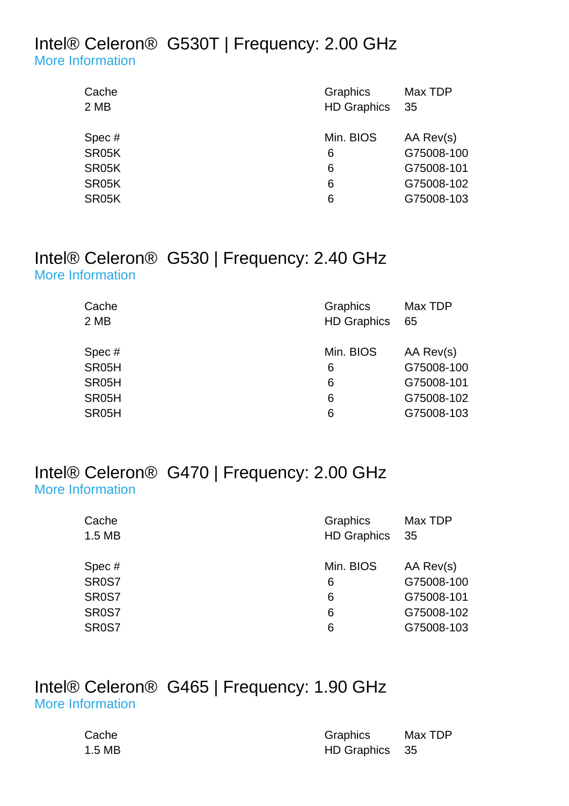#### Intel® Celeron® G530T | Frequency: 2.00 GHz [More Information](http://ark.intel.com/Product.aspx?spec=SR05K)

| Cache<br>2 MB | Graphics<br><b>HD Graphics</b> | Max TDP<br>- 35 |
|---------------|--------------------------------|-----------------|
| Spec#         | Min. BIOS                      | AA Rev(s)       |
| SR05K         | 6                              | G75008-100      |
| SR05K         | 6                              | G75008-101      |
| SR05K         | 6                              | G75008-102      |
| SR05K         | 6                              | G75008-103      |
|               |                                |                 |

### Intel® Celeron® G530 | Frequency: 2.40 GHz [More Information](http://ark.intel.com/Product.aspx?spec=SR05H)

| Cache | Graphics           | Max TDP    |
|-------|--------------------|------------|
| 2 MB  | <b>HD Graphics</b> | 65         |
|       |                    |            |
| Spec# | Min. BIOS          | AA Rev(s)  |
| SR05H | 6                  | G75008-100 |
| SR05H | 6                  | G75008-101 |
| SR05H | 6                  | G75008-102 |
| SR05H | 6                  | G75008-103 |

#### Intel® Celeron® G470 | Frequency: 2.00 GHz [More Information](http://ark.intel.com/Product.aspx?spec=SR0S7)

| Cache              | Graphics           | Max TDP    |
|--------------------|--------------------|------------|
| 1.5 MB             | <b>HD Graphics</b> | - 35       |
|                    |                    |            |
| Spec#              | Min. BIOS          | AA Rev(s)  |
| SR0S7              | 6                  | G75008-100 |
| SR0S7              | 6                  | G75008-101 |
| SR <sub>0</sub> S7 | 6                  | G75008-102 |
| SR0S7              | 6                  | G75008-103 |

#### Intel® Celeron® G465 | Frequency: 1.90 GHz [More Information](http://ark.intel.com/Product.aspx?spec=SR0S8)

| Cache  | <b>Graphics</b> | Max TDP |
|--------|-----------------|---------|
| 1.5 MB | HD Graphics 35  |         |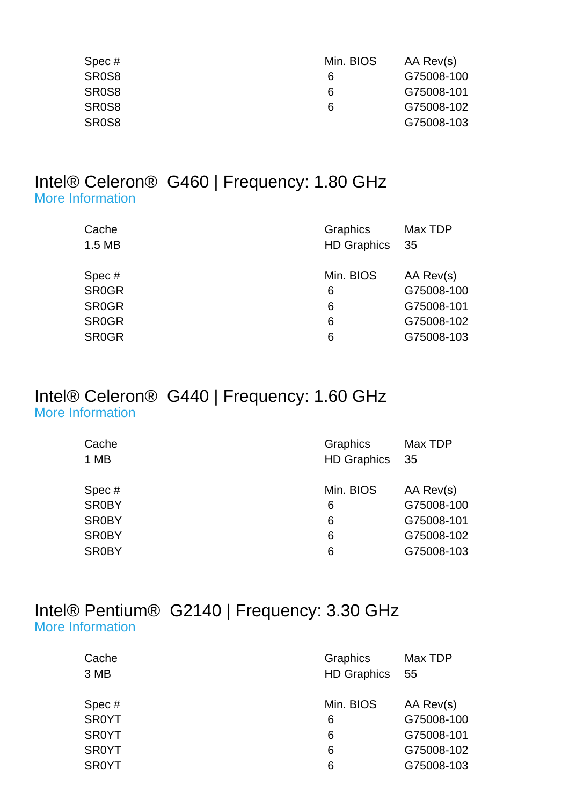| Spec #             | Min. BIOS | AA Rev(s)  |
|--------------------|-----------|------------|
| SR <sub>0</sub> S8 | 6         | G75008-100 |
| SR <sub>0</sub> S8 | 6         | G75008-101 |
| SR <sub>0</sub> S8 | 6         | G75008-102 |
| SR <sub>0</sub> S8 |           | G75008-103 |

#### Intel® Celeron® G460 | Frequency: 1.80 GHz [More Information](http://ark.intel.com/Product.aspx?spec=SR0GR)

| Cache        | Graphics           | Max TDP    |
|--------------|--------------------|------------|
| 1.5 MB       | <b>HD Graphics</b> | 35         |
| Spec#        | Min. BIOS          | AA Rev(s)  |
| <b>SR0GR</b> | 6                  | G75008-100 |
| <b>SR0GR</b> | 6                  | G75008-101 |
| <b>SR0GR</b> | 6                  | G75008-102 |
| <b>SR0GR</b> | 6                  | G75008-103 |

## Intel® Celeron® G440 | Frequency: 1.60 GHz [More Information](http://ark.intel.com/Product.aspx?spec=SR0BY)

| Cache<br>1 MB | Graphics<br>HD Graphics 35 | Max TDP    |
|---------------|----------------------------|------------|
| Spec#         | Min. BIOS                  | AA Rev(s)  |
| <b>SR0BY</b>  | 6                          | G75008-100 |
| <b>SR0BY</b>  | 6                          | G75008-101 |
| <b>SR0BY</b>  | 6                          | G75008-102 |
| <b>SR0BY</b>  | 6                          | G75008-103 |

## Intel® Pentium® G2140 | Frequency: 3.30 GHz [More Information](http://ark.intel.com/Product.aspx?spec=SR0YT)

| Cache        | Graphics           | Max TDP    |
|--------------|--------------------|------------|
| 3 MB         | <b>HD Graphics</b> | - 55       |
|              |                    |            |
| Spec#        | Min. BIOS          | AA Rev(s)  |
| SR0YT        | 6                  | G75008-100 |
| <b>SR0YT</b> | 6                  | G75008-101 |
| <b>SR0YT</b> | 6                  | G75008-102 |
| <b>SR0YT</b> | 6                  | G75008-103 |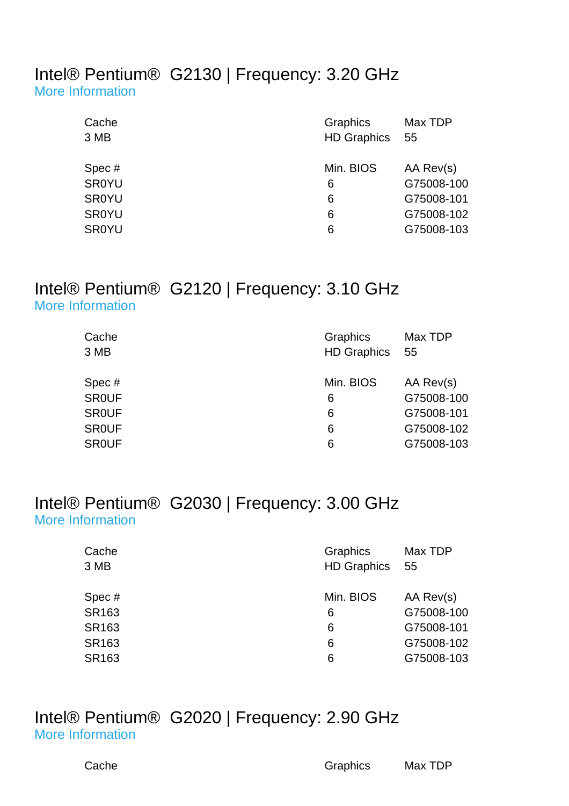#### Intel® Pentium® G2130 | Frequency: 3.20 GHz [More Information](http://ark.intel.com/Product.aspx?spec=SR0YU)

| Cache<br>3 MB | Graphics<br><b>HD Graphics</b> | Max TDP<br>55 |
|---------------|--------------------------------|---------------|
| Spec#         | Min. BIOS                      | AA Rev(s)     |
| <b>SR0YU</b>  | 6                              | G75008-100    |
| <b>SR0YU</b>  | 6                              | G75008-101    |
| <b>SR0YU</b>  | 6                              | G75008-102    |
| <b>SR0YU</b>  | 6                              | G75008-103    |

## Intel® Pentium® G2120 | Frequency: 3.10 GHz [More Information](http://ark.intel.com/Product.aspx?spec=SR0UF)

| Cache        | Graphics           | Max TDP    |
|--------------|--------------------|------------|
| 3 MB         | <b>HD Graphics</b> | - 55       |
|              |                    |            |
| Spec#        | Min. BIOS          | AA Rev(s)  |
| <b>SROUF</b> | 6                  | G75008-100 |
| <b>SROUF</b> | 6                  | G75008-101 |
| <b>SROUF</b> | 6                  | G75008-102 |
| <b>SROUF</b> | 6                  | G75008-103 |

## Intel® Pentium® G2030 | Frequency: 3.00 GHz [More Information](http://ark.intel.com/Product.aspx?spec=SR163)

| Cache<br>3 MB | Graphics<br><b>HD Graphics</b> | Max TDP<br>55 |
|---------------|--------------------------------|---------------|
| Spec#         | Min. BIOS                      | AA Rev(s)     |
| SR163         | 6                              | G75008-100    |
| SR163         | 6                              | G75008-101    |
| SR163         | 6                              | G75008-102    |
| SR163         | 6                              | G75008-103    |
|               |                                |               |

#### Intel® Pentium® G2020 | Frequency: 2.90 GHz [More Information](http://ark.intel.com/Product.aspx?spec=SR10H)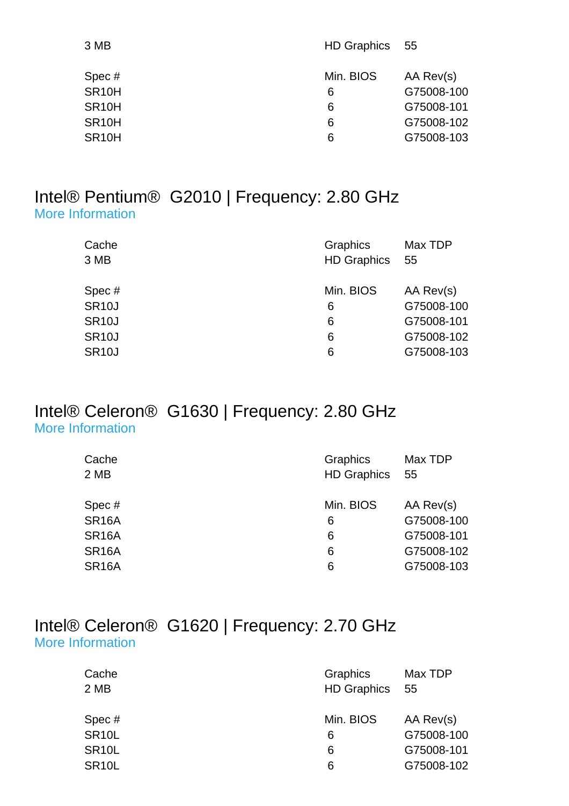| <b>HD Graphics</b> | - 55       |
|--------------------|------------|
| Min. BIOS          | AA Rev(s)  |
| 6                  | G75008-100 |
| 6                  | G75008-101 |
| 6                  | G75008-102 |
| 6                  | G75008-103 |
|                    |            |

#### Intel® Pentium® G2010 | Frequency: 2.80 GHz [More Information](http://ark.intel.com/Product.aspx?spec=SR10J)

| Cache<br>3 MB | Graphics<br><b>HD Graphics</b> | Max TDP<br>-55 |
|---------------|--------------------------------|----------------|
| Spec#         | Min. BIOS                      | AA Rev(s)      |
| <b>SR10J</b>  | 6                              | G75008-100     |
| <b>SR10J</b>  | 6                              | G75008-101     |
| <b>SR10J</b>  | 6                              | G75008-102     |
| <b>SR10J</b>  | 6                              | G75008-103     |

### Intel® Celeron® G1630 | Frequency: 2.80 GHz [More Information](http://ark.intel.com/Product.aspx?spec=SR16A)

| Cache              | Graphics           | Max TDP    |
|--------------------|--------------------|------------|
| 2 MB               | <b>HD Graphics</b> | -55        |
|                    |                    |            |
| Spec#              | Min. BIOS          | AA Rev(s)  |
| <b>SR16A</b>       | 6                  | G75008-100 |
| SR <sub>16</sub> A | 6                  | G75008-101 |
| SR <sub>16</sub> A | 6                  | G75008-102 |
| <b>SR16A</b>       | 6                  | G75008-103 |

## Intel® Celeron® G1620 | Frequency: 2.70 GHz [More Information](http://ark.intel.com/Product.aspx?spec=SR10L)

| Graphics<br><b>HD Graphics</b> | Max TDP<br>- 55 |
|--------------------------------|-----------------|
| Min. BIOS                      | AA Rev(s)       |
| 6                              | G75008-100      |
| 6                              | G75008-101      |
| 6                              | G75008-102      |
|                                |                 |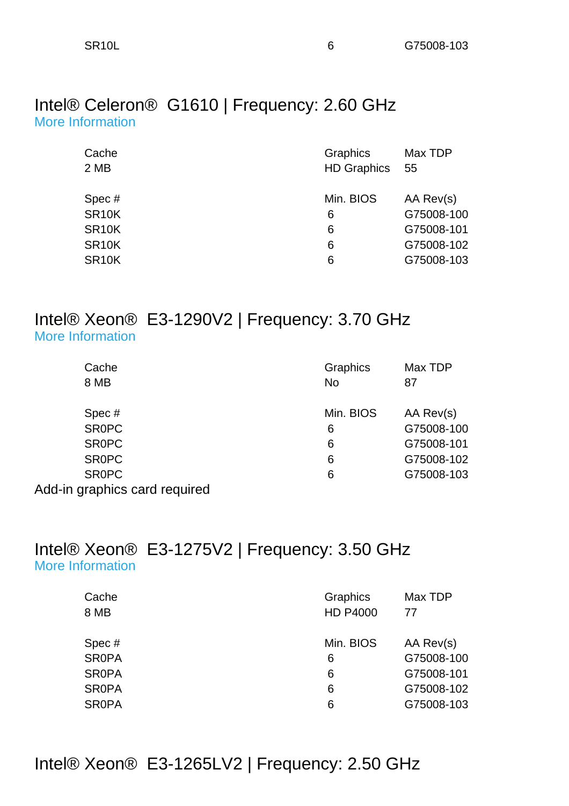#### Intel® Celeron® G1610 | Frequency: 2.60 GHz [More Information](http://ark.intel.com/Product.aspx?spec=SR10K)

| Cache<br>2 MB      | Graphics<br><b>HD Graphics</b> | Max TDP<br>55 |
|--------------------|--------------------------------|---------------|
| Spec#              | Min. BIOS                      | AA Rev(s)     |
| SR <sub>10</sub> K | 6                              | G75008-100    |
| SR <sub>10</sub> K | 6                              | G75008-101    |
| SR <sub>10</sub> K | 6                              | G75008-102    |
| SR <sub>10</sub> K | 6                              | G75008-103    |

## Intel® Xeon® E3-1290V2 | Frequency: 3.70 GHz [More Information](http://ark.intel.com/Product.aspx?spec=SR0PC)

| Cache                         | Graphics  | Max TDP    |
|-------------------------------|-----------|------------|
| 8 MB                          | <b>No</b> | 87         |
|                               |           |            |
| Spec#                         | Min. BIOS | AA Rev(s)  |
| <b>SROPC</b>                  | 6         | G75008-100 |
| <b>SROPC</b>                  | 6         | G75008-101 |
| <b>SROPC</b>                  | 6         | G75008-102 |
| <b>SROPC</b>                  | 6         | G75008-103 |
| Add-in graphics card required |           |            |

## Intel® Xeon® E3-1275V2 | Frequency: 3.50 GHz [More Information](http://ark.intel.com/Product.aspx?spec=SR0PA)

| Cache        | Graphics        | Max TDP    |
|--------------|-----------------|------------|
| 8 MB         | <b>HD P4000</b> | 77         |
|              |                 |            |
| Spec#        | Min. BIOS       | AA Rev(s)  |
| <b>SR0PA</b> | 6               | G75008-100 |
| <b>SR0PA</b> | 6               | G75008-101 |
| <b>SR0PA</b> | 6               | G75008-102 |
| <b>SR0PA</b> | 6               | G75008-103 |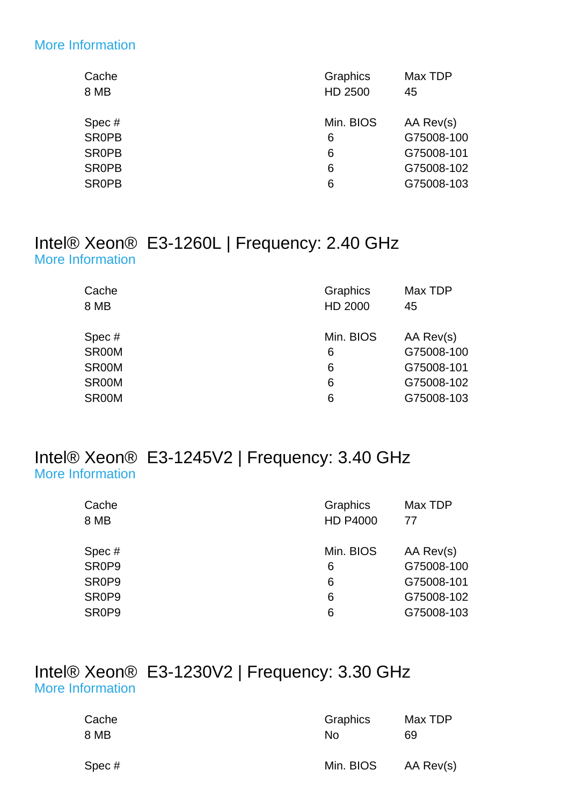#### [More Information](http://ark.intel.com/Product.aspx?spec=SR0PB)

| Cache        | Graphics  | Max TDP    |
|--------------|-----------|------------|
| 8 MB         | HD 2500   | 45         |
| Spec#        | Min. BIOS | AA Rev(s)  |
| <b>SR0PB</b> | 6         | G75008-100 |
| <b>SROPB</b> | 6         | G75008-101 |
| <b>SR0PB</b> | 6         | G75008-102 |
| <b>SR0PB</b> | 6         | G75008-103 |
|              |           |            |

## Intel® Xeon® E3-1260L | Frequency: 2.40 GHz [More Information](http://ark.intel.com/Product.aspx?spec=SR00M)

| Cache<br>8 MB | Graphics<br>HD 2000 | Max TDP<br>45 |
|---------------|---------------------|---------------|
| Spec#         | Min. BIOS           | AA Rev(s)     |
| SR00M         | 6                   | G75008-100    |
| SR00M         | 6                   | G75008-101    |
| SR00M         | 6                   | G75008-102    |
| SR00M         | 6                   | G75008-103    |

#### Intel® Xeon® E3-1245V2 | Frequency: 3.40 GHz [More Information](http://ark.intel.com/Product.aspx?spec=SR0P9)

| Cache<br>8 MB                  | Graphics<br><b>HD P4000</b> | Max TDP<br>77 |
|--------------------------------|-----------------------------|---------------|
| Spec#                          | Min. BIOS                   | AA Rev(s)     |
| SR0P9                          | 6                           | G75008-100    |
| SR <sub>0</sub> P <sub>9</sub> | 6                           | G75008-101    |
| SR <sub>0</sub> P <sub>9</sub> | 6                           | G75008-102    |
| SR <sub>0</sub> P <sub>9</sub> | 6                           | G75008-103    |

## Intel® Xeon® E3-1230V2 | Frequency: 3.30 GHz [More Information](http://ark.intel.com/Product.aspx?spec=SR0P4)

| Cache | Graphics  | Max TDP   |
|-------|-----------|-----------|
| 8 MB  | Nο        | 69        |
| Spec# | Min. BIOS | AA Rev(s) |